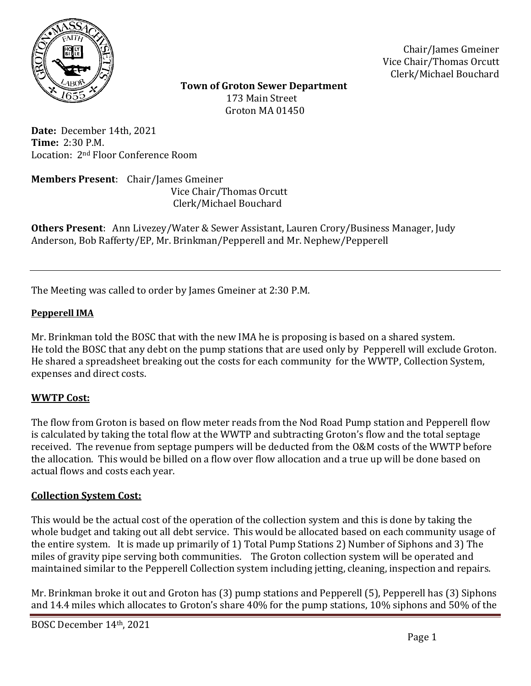

Chair/James Gmeiner Vice Chair/Thomas Orcutt Clerk/Michael Bouchard

 **Town of Groton Sewer Department** 173 Main Street Groton MA 01450

**Date:** December 14th, 2021 **Time:** 2:30 P.M. Location: 2nd Floor Conference Room

**Members Present**: Chair/James Gmeiner Vice Chair/Thomas Orcutt Clerk/Michael Bouchard

**Others Present**: Ann Livezey/Water & Sewer Assistant, Lauren Crory/Business Manager, Judy Anderson, Bob Rafferty/EP, Mr. Brinkman/Pepperell and Mr. Nephew/Pepperell

The Meeting was called to order by James Gmeiner at 2:30 P.M.

## **Pepperell IMA**

Mr. Brinkman told the BOSC that with the new IMA he is proposing is based on a shared system. He told the BOSC that any debt on the pump stations that are used only by Pepperell will exclude Groton. He shared a spreadsheet breaking out the costs for each community for the WWTP, Collection System, expenses and direct costs.

## **WWTP Cost:**

The flow from Groton is based on flow meter reads from the Nod Road Pump station and Pepperell flow is calculated by taking the total flow at the WWTP and subtracting Groton's flow and the total septage received. The revenue from septage pumpers will be deducted from the O&M costs of the WWTP before the allocation. This would be billed on a flow over flow allocation and a true up will be done based on actual flows and costs each year.

## **Collection System Cost:**

This would be the actual cost of the operation of the collection system and this is done by taking the whole budget and taking out all debt service. This would be allocated based on each community usage of the entire system. It is made up primarily of 1) Total Pump Stations 2) Number of Siphons and 3) The miles of gravity pipe serving both communities. The Groton collection system will be operated and maintained similar to the Pepperell Collection system including jetting, cleaning, inspection and repairs.

Mr. Brinkman broke it out and Groton has (3) pump stations and Pepperell (5), Pepperell has (3) Siphons and 14.4 miles which allocates to Groton's share 40% for the pump stations, 10% siphons and 50% of the